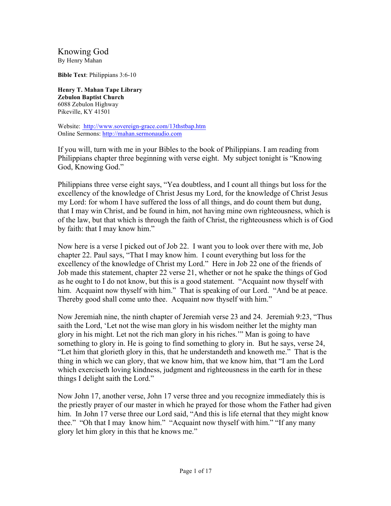Knowing God By Henry Mahan

**Bible Text**: Philippians 3:6-10

**Henry T. Mahan Tape Library Zebulon Baptist Church** 6088 Zebulon Highway Pikeville, KY 41501

Website: http://www.sovereign-grace.com/13thstbap.htm Online Sermons: http://mahan.sermonaudio.com

If you will, turn with me in your Bibles to the book of Philippians. I am reading from Philippians chapter three beginning with verse eight. My subject tonight is "Knowing God, Knowing God."

Philippians three verse eight says, "Yea doubtless, and I count all things but loss for the excellency of the knowledge of Christ Jesus my Lord, for the knowledge of Christ Jesus my Lord: for whom I have suffered the loss of all things, and do count them but dung, that I may win Christ, and be found in him, not having mine own righteousness, which is of the law, but that which is through the faith of Christ, the righteousness which is of God by faith: that I may know him."

Now here is a verse I picked out of Job 22. I want you to look over there with me, Job chapter 22. Paul says, "That I may know him. I count everything but loss for the excellency of the knowledge of Christ my Lord." Here in Job 22 one of the friends of Job made this statement, chapter 22 verse 21, whether or not he spake the things of God as he ought to I do not know, but this is a good statement. "Acquaint now thyself with him. Acquaint now thyself with him." That is speaking of our Lord. "And be at peace. Thereby good shall come unto thee. Acquaint now thyself with him."

Now Jeremiah nine, the ninth chapter of Jeremiah verse 23 and 24. Jeremiah 9:23, "Thus saith the Lord, 'Let not the wise man glory in his wisdom neither let the mighty man glory in his might. Let not the rich man glory in his riches.'" Man is going to have something to glory in. He is going to find something to glory in. But he says, verse 24, "Let him that glorieth glory in this, that he understandeth and knoweth me." That is the thing in which we can glory, that we know him, that we know him, that "I am the Lord which exerciseth loving kindness, judgment and righteousness in the earth for in these things I delight saith the Lord."

Now John 17, another verse, John 17 verse three and you recognize immediately this is the priestly prayer of our master in which he prayed for those whom the Father had given him. In John 17 verse three our Lord said, "And this is life eternal that they might know thee." "Oh that I may know him." "Acquaint now thyself with him." "If any many glory let him glory in this that he knows me."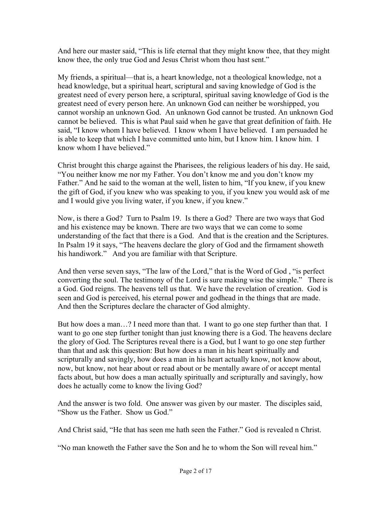And here our master said, "This is life eternal that they might know thee, that they might know thee, the only true God and Jesus Christ whom thou hast sent."

My friends, a spiritual—that is, a heart knowledge, not a theological knowledge, not a head knowledge, but a spiritual heart, scriptural and saving knowledge of God is the greatest need of every person here, a scriptural, spiritual saving knowledge of God is the greatest need of every person here. An unknown God can neither be worshipped, you cannot worship an unknown God. An unknown God cannot be trusted. An unknown God cannot be believed. This is what Paul said when he gave that great definition of faith. He said, "I know whom I have believed. I know whom I have believed. I am persuaded he is able to keep that which I have committed unto him, but I know him. I know him. I know whom I have believed."

Christ brought this charge against the Pharisees, the religious leaders of his day. He said, "You neither know me nor my Father. You don't know me and you don't know my Father." And he said to the woman at the well, listen to him, "If you knew, if you knew the gift of God, if you knew who was speaking to you, if you knew you would ask of me and I would give you living water, if you knew, if you knew."

Now, is there a God? Turn to Psalm 19. Is there a God? There are two ways that God and his existence may be known. There are two ways that we can come to some understanding of the fact that there is a God. And that is the creation and the Scriptures. In Psalm 19 it says, "The heavens declare the glory of God and the firmament showeth his handiwork." And you are familiar with that Scripture.

And then verse seven says, "The law of the Lord," that is the Word of God , "is perfect converting the soul. The testimony of the Lord is sure making wise the simple." There is a God. God reigns. The heavens tell us that. We have the revelation of creation. God is seen and God is perceived, his eternal power and godhead in the things that are made. And then the Scriptures declare the character of God almighty.

But how does a man...? I need more than that. I want to go one step further than that. I want to go one step further tonight than just knowing there is a God. The heavens declare the glory of God. The Scriptures reveal there is a God, but I want to go one step further than that and ask this question: But how does a man in his heart spiritually and scripturally and savingly, how does a man in his heart actually know, not know about, now, but know, not hear about or read about or be mentally aware of or accept mental facts about, but how does a man actually spiritually and scripturally and savingly, how does he actually come to know the living God?

And the answer is two fold. One answer was given by our master. The disciples said, "Show us the Father. Show us God."

And Christ said, "He that has seen me hath seen the Father." God is revealed n Christ.

"No man knoweth the Father save the Son and he to whom the Son will reveal him."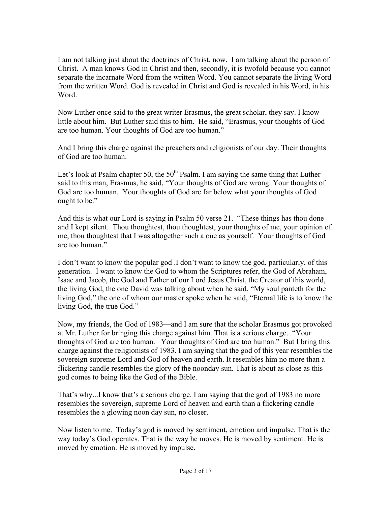I am not talking just about the doctrines of Christ, now. I am talking about the person of Christ. A man knows God in Christ and then, secondly, it is twofold because you cannot separate the incarnate Word from the written Word. You cannot separate the living Word from the written Word. God is revealed in Christ and God is revealed in his Word, in his Word.

Now Luther once said to the great writer Erasmus, the great scholar, they say. I know little about him. But Luther said this to him. He said, "Erasmus, your thoughts of God are too human. Your thoughts of God are too human."

And I bring this charge against the preachers and religionists of our day. Their thoughts of God are too human.

Let's look at Psalm chapter 50, the  $50<sup>th</sup>$  Psalm. I am saying the same thing that Luther said to this man, Erasmus, he said, "Your thoughts of God are wrong. Your thoughts of God are too human. Your thoughts of God are far below what your thoughts of God ought to be."

And this is what our Lord is saying in Psalm 50 verse 21. "These things has thou done and I kept silent. Thou thoughtest, thou thoughtest, your thoughts of me, your opinion of me, thou thoughtest that I was altogether such a one as yourself. Your thoughts of God are too human."

I don't want to know the popular god .I don't want to know the god, particularly, of this generation. I want to know the God to whom the Scriptures refer, the God of Abraham, Isaac and Jacob, the God and Father of our Lord Jesus Christ, the Creator of this world, the living God, the one David was talking about when he said, "My soul panteth for the living God," the one of whom our master spoke when he said, "Eternal life is to know the living God, the true God."

Now, my friends, the God of 1983—and I am sure that the scholar Erasmus got provoked at Mr. Luther for bringing this charge against him. That is a serious charge. "Your thoughts of God are too human. Your thoughts of God are too human." But I bring this charge against the religionists of 1983. I am saying that the god of this year resembles the sovereign supreme Lord and God of heaven and earth. It resembles him no more than a flickering candle resembles the glory of the noonday sun. That is about as close as this god comes to being like the God of the Bible.

That's why...I know that's a serious charge. I am saying that the god of 1983 no more resembles the sovereign, supreme Lord of heaven and earth than a flickering candle resembles the a glowing noon day sun, no closer.

Now listen to me. Today's god is moved by sentiment, emotion and impulse. That is the way today's God operates. That is the way he moves. He is moved by sentiment. He is moved by emotion. He is moved by impulse.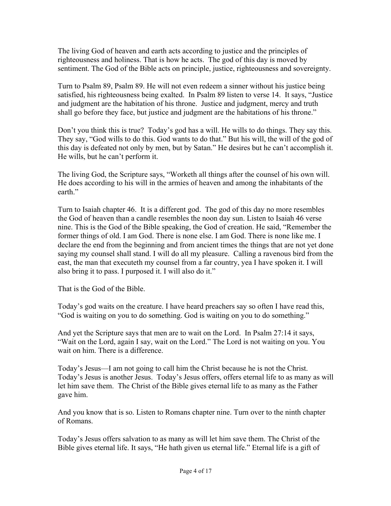The living God of heaven and earth acts according to justice and the principles of righteousness and holiness. That is how he acts. The god of this day is moved by sentiment. The God of the Bible acts on principle, justice, righteousness and sovereignty.

Turn to Psalm 89, Psalm 89. He will not even redeem a sinner without his justice being satisfied, his righteousness being exalted. In Psalm 89 listen to verse 14. It says, "Justice and judgment are the habitation of his throne. Justice and judgment, mercy and truth shall go before they face, but justice and judgment are the habitations of his throne."

Don't you think this is true? Today's god has a will. He wills to do things. They say this. They say, "God wills to do this. God wants to do that." But his will, the will of the god of this day is defeated not only by men, but by Satan." He desires but he can't accomplish it. He wills, but he can't perform it.

The living God, the Scripture says, "Worketh all things after the counsel of his own will. He does according to his will in the armies of heaven and among the inhabitants of the earth."

Turn to Isaiah chapter 46. It is a different god. The god of this day no more resembles the God of heaven than a candle resembles the noon day sun. Listen to Isaiah 46 verse nine. This is the God of the Bible speaking, the God of creation. He said, "Remember the former things of old. I am God. There is none else. I am God. There is none like me. I declare the end from the beginning and from ancient times the things that are not yet done saying my counsel shall stand. I will do all my pleasure. Calling a ravenous bird from the east, the man that executeth my counsel from a far country, yea I have spoken it. I will also bring it to pass. I purposed it. I will also do it."

That is the God of the Bible.

Today's god waits on the creature. I have heard preachers say so often I have read this, "God is waiting on you to do something. God is waiting on you to do something."

And yet the Scripture says that men are to wait on the Lord. In Psalm 27:14 it says, "Wait on the Lord, again I say, wait on the Lord." The Lord is not waiting on you. You wait on him. There is a difference.

Today's Jesus—I am not going to call him the Christ because he is not the Christ. Today's Jesus is another Jesus. Today's Jesus offers, offers eternal life to as many as will let him save them. The Christ of the Bible gives eternal life to as many as the Father gave him.

And you know that is so. Listen to Romans chapter nine. Turn over to the ninth chapter of Romans.

Today's Jesus offers salvation to as many as will let him save them. The Christ of the Bible gives eternal life. It says, "He hath given us eternal life." Eternal life is a gift of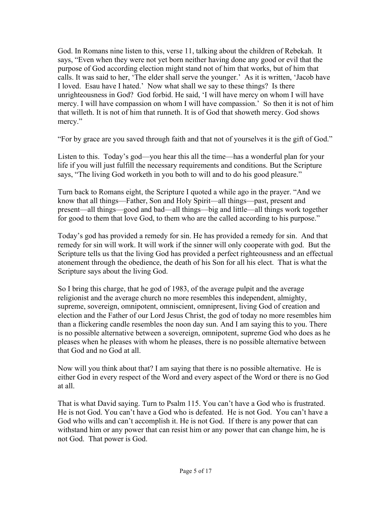God. In Romans nine listen to this, verse 11, talking about the children of Rebekah. It says, "Even when they were not yet born neither having done any good or evil that the purpose of God according election might stand not of him that works, but of him that calls. It was said to her, 'The elder shall serve the younger.' As it is written, 'Jacob have I loved. Esau have I hated.' Now what shall we say to these things? Is there unrighteousness in God? God forbid. He said, 'I will have mercy on whom I will have mercy. I will have compassion on whom I will have compassion.' So then it is not of him that willeth. It is not of him that runneth. It is of God that showeth mercy. God shows mercy."

"For by grace are you saved through faith and that not of yourselves it is the gift of God."

Listen to this. Today's god—you hear this all the time—has a wonderful plan for your life if you will just fulfill the necessary requirements and conditions. But the Scripture says, "The living God worketh in you both to will and to do his good pleasure."

Turn back to Romans eight, the Scripture I quoted a while ago in the prayer. "And we know that all things—Father, Son and Holy Spirit—all things—past, present and present—all things—good and bad—all things—big and little—all things work together for good to them that love God, to them who are the called according to his purpose."

Today's god has provided a remedy for sin. He has provided a remedy for sin. And that remedy for sin will work. It will work if the sinner will only cooperate with god. But the Scripture tells us that the living God has provided a perfect righteousness and an effectual atonement through the obedience, the death of his Son for all his elect. That is what the Scripture says about the living God.

So I bring this charge, that he god of 1983, of the average pulpit and the average religionist and the average church no more resembles this independent, almighty, supreme, sovereign, omnipotent, omniscient, omnipresent, living God of creation and election and the Father of our Lord Jesus Christ, the god of today no more resembles him than a flickering candle resembles the noon day sun. And I am saying this to you. There is no possible alternative between a sovereign, omnipotent, supreme God who does as he pleases when he pleases with whom he pleases, there is no possible alternative between that God and no God at all.

Now will you think about that? I am saying that there is no possible alternative. He is either God in every respect of the Word and every aspect of the Word or there is no God at all.

That is what David saying. Turn to Psalm 115. You can't have a God who is frustrated. He is not God. You can't have a God who is defeated. He is not God. You can't have a God who wills and can't accomplish it. He is not God. If there is any power that can withstand him or any power that can resist him or any power that can change him, he is not God. That power is God.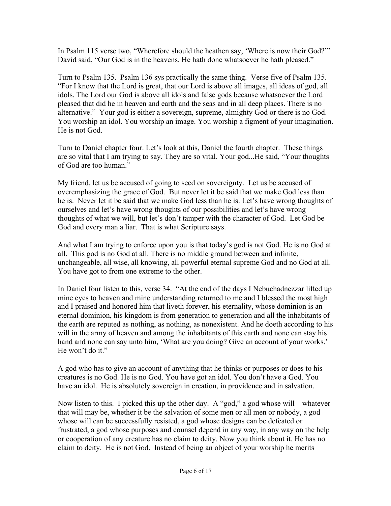In Psalm 115 verse two, "Wherefore should the heathen say, 'Where is now their God?'" David said, "Our God is in the heavens. He hath done whatsoever he hath pleased."

Turn to Psalm 135. Psalm 136 sys practically the same thing. Verse five of Psalm 135. "For I know that the Lord is great, that our Lord is above all images, all ideas of god, all idols. The Lord our God is above all idols and false gods because whatsoever the Lord pleased that did he in heaven and earth and the seas and in all deep places. There is no alternative." Your god is either a sovereign, supreme, almighty God or there is no God. You worship an idol. You worship an image. You worship a figment of your imagination. He is not God.

Turn to Daniel chapter four. Let's look at this, Daniel the fourth chapter. These things are so vital that I am trying to say. They are so vital. Your god...He said, "Your thoughts of God are too human."

My friend, let us be accused of going to seed on sovereignty. Let us be accused of overemphasizing the grace of God. But never let it be said that we make God less than he is. Never let it be said that we make God less than he is. Let's have wrong thoughts of ourselves and let's have wrong thoughts of our possibilities and let's have wrong thoughts of what we will, but let's don't tamper with the character of God. Let God be God and every man a liar. That is what Scripture says.

And what I am trying to enforce upon you is that today's god is not God. He is no God at all. This god is no God at all. There is no middle ground between and infinite, unchangeable, all wise, all knowing, all powerful eternal supreme God and no God at all. You have got to from one extreme to the other.

In Daniel four listen to this, verse 34. "At the end of the days I Nebuchadnezzar lifted up mine eyes to heaven and mine understanding returned to me and I blessed the most high and I praised and honored him that liveth forever, his eternality, whose dominion is an eternal dominion, his kingdom is from generation to generation and all the inhabitants of the earth are reputed as nothing, as nothing, as nonexistent. And he doeth according to his will in the army of heaven and among the inhabitants of this earth and none can stay his hand and none can say unto him, 'What are you doing? Give an account of your works.' He won't do it."

A god who has to give an account of anything that he thinks or purposes or does to his creatures is no God. He is no God. You have got an idol. You don't have a God. You have an idol. He is absolutely sovereign in creation, in providence and in salvation.

Now listen to this. I picked this up the other day. A "god," a god whose will—whatever that will may be, whether it be the salvation of some men or all men or nobody, a god whose will can be successfully resisted, a god whose designs can be defeated or frustrated, a god whose purposes and counsel depend in any way, in any way on the help or cooperation of any creature has no claim to deity. Now you think about it. He has no claim to deity. He is not God. Instead of being an object of your worship he merits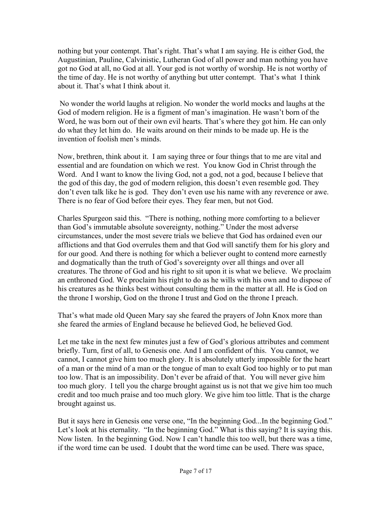nothing but your contempt. That's right. That's what I am saying. He is either God, the Augustinian, Pauline, Calvinistic, Lutheran God of all power and man nothing you have got no God at all, no God at all. Your god is not worthy of worship. He is not worthy of the time of day. He is not worthy of anything but utter contempt. That's what I think about it. That's what I think about it.

No wonder the world laughs at religion. No wonder the world mocks and laughs at the God of modern religion. He is a figment of man's imagination. He wasn't born of the Word, he was born out of their own evil hearts. That's where they got him. He can only do what they let him do. He waits around on their minds to be made up. He is the invention of foolish men's minds.

Now, brethren, think about it. I am saying three or four things that to me are vital and essential and are foundation on which we rest. You know God in Christ through the Word. And I want to know the living God, not a god, not a god, because I believe that the god of this day, the god of modern religion, this doesn't even resemble god. They don't even talk like he is god. They don't even use his name with any reverence or awe. There is no fear of God before their eyes. They fear men, but not God.

Charles Spurgeon said this. "There is nothing, nothing more comforting to a believer than God's immutable absolute sovereignty, nothing." Under the most adverse circumstances, under the most severe trials we believe that God has ordained even our afflictions and that God overrules them and that God will sanctify them for his glory and for our good. And there is nothing for which a believer ought to contend more earnestly and dogmatically than the truth of God's sovereignty over all things and over all creatures. The throne of God and his right to sit upon it is what we believe. We proclaim an enthroned God. We proclaim his right to do as he wills with his own and to dispose of his creatures as he thinks best without consulting them in the matter at all. He is God on the throne I worship, God on the throne I trust and God on the throne I preach.

That's what made old Queen Mary say she feared the prayers of John Knox more than she feared the armies of England because he believed God, he believed God.

Let me take in the next few minutes just a few of God's glorious attributes and comment briefly. Turn, first of all, to Genesis one. And I am confident of this. You cannot, we cannot, I cannot give him too much glory. It is absolutely utterly impossible for the heart of a man or the mind of a man or the tongue of man to exalt God too highly or to put man too low. That is an impossibility. Don't ever be afraid of that. You will never give him too much glory. I tell you the charge brought against us is not that we give him too much credit and too much praise and too much glory. We give him too little. That is the charge brought against us.

But it says here in Genesis one verse one, "In the beginning God...In the beginning God." Let's look at his eternality. "In the beginning God." What is this saying? It is saying this. Now listen. In the beginning God. Now I can't handle this too well, but there was a time, if the word time can be used. I doubt that the word time can be used. There was space,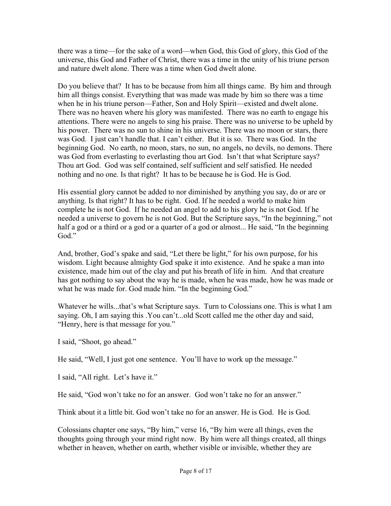there was a time—for the sake of a word—when God, this God of glory, this God of the universe, this God and Father of Christ, there was a time in the unity of his triune person and nature dwelt alone. There was a time when God dwelt alone.

Do you believe that? It has to be because from him all things came. By him and through him all things consist. Everything that was made was made by him so there was a time when he in his triune person—Father, Son and Holy Spirit—existed and dwelt alone. There was no heaven where his glory was manifested. There was no earth to engage his attentions. There were no angels to sing his praise. There was no universe to be upheld by his power. There was no sun to shine in his universe. There was no moon or stars, there was God. I just can't handle that. I can't either. But it is so. There was God. In the beginning God. No earth, no moon, stars, no sun, no angels, no devils, no demons. There was God from everlasting to everlasting thou art God. Isn't that what Scripture says? Thou art God. God was self contained, self sufficient and self satisfied. He needed nothing and no one. Is that right? It has to be because he is God. He is God.

His essential glory cannot be added to nor diminished by anything you say, do or are or anything. Is that right? It has to be right. God. If he needed a world to make him complete he is not God. If he needed an angel to add to his glory he is not God. If he needed a universe to govern he is not God. But the Scripture says, "In the beginning," not half a god or a third or a god or a quarter of a god or almost... He said, "In the beginning God."

And, brother, God's spake and said, "Let there be light," for his own purpose, for his wisdom. Light because almighty God spake it into existence. And he spake a man into existence, made him out of the clay and put his breath of life in him. And that creature has got nothing to say about the way he is made, when he was made, how he was made or what he was made for. God made him. "In the beginning God."

Whatever he wills...that's what Scripture says. Turn to Colossians one. This is what I am saying. Oh, I am saying this .You can't...old Scott called me the other day and said, "Henry, here is that message for you."

I said, "Shoot, go ahead."

He said, "Well, I just got one sentence. You'll have to work up the message."

I said, "All right. Let's have it."

He said, "God won't take no for an answer. God won't take no for an answer."

Think about it a little bit. God won't take no for an answer. He is God. He is God.

Colossians chapter one says, "By him," verse 16, "By him were all things, even the thoughts going through your mind right now. By him were all things created, all things whether in heaven, whether on earth, whether visible or invisible, whether they are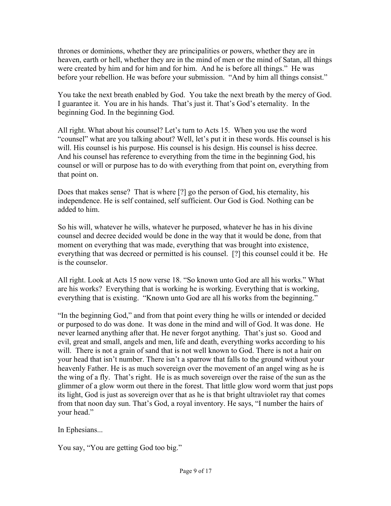thrones or dominions, whether they are principalities or powers, whether they are in heaven, earth or hell, whether they are in the mind of men or the mind of Satan, all things were created by him and for him and for him. And he is before all things." He was before your rebellion. He was before your submission. "And by him all things consist."

You take the next breath enabled by God. You take the next breath by the mercy of God. I guarantee it. You are in his hands. That's just it. That's God's eternality. In the beginning God. In the beginning God.

All right. What about his counsel? Let's turn to Acts 15. When you use the word "counsel" what are you talking about? Well, let's put it in these words. His counsel is his will. His counsel is his purpose. His counsel is his design. His counsel is hiss decree. And his counsel has reference to everything from the time in the beginning God, his counsel or will or purpose has to do with everything from that point on, everything from that point on.

Does that makes sense? That is where [?] go the person of God, his eternality, his independence. He is self contained, self sufficient. Our God is God. Nothing can be added to him.

So his will, whatever he wills, whatever he purposed, whatever he has in his divine counsel and decree decided would be done in the way that it would be done, from that moment on everything that was made, everything that was brought into existence, everything that was decreed or permitted is his counsel. [?] this counsel could it be. He is the counselor.

All right. Look at Acts 15 now verse 18. "So known unto God are all his works." What are his works? Everything that is working he is working. Everything that is working, everything that is existing. "Known unto God are all his works from the beginning."

"In the beginning God," and from that point every thing he wills or intended or decided or purposed to do was done. It was done in the mind and will of God. It was done. He never learned anything after that. He never forgot anything. That's just so. Good and evil, great and small, angels and men, life and death, everything works according to his will. There is not a grain of sand that is not well known to God. There is not a hair on your head that isn't number. There isn't a sparrow that falls to the ground without your heavenly Father. He is as much sovereign over the movement of an angel wing as he is the wing of a fly. That's right. He is as much sovereign over the raise of the sun as the glimmer of a glow worm out there in the forest. That little glow word worm that just pops its light, God is just as sovereign over that as he is that bright ultraviolet ray that comes from that noon day sun. That's God, a royal inventory. He says, "I number the hairs of your head."

In Ephesians...

You say, "You are getting God too big."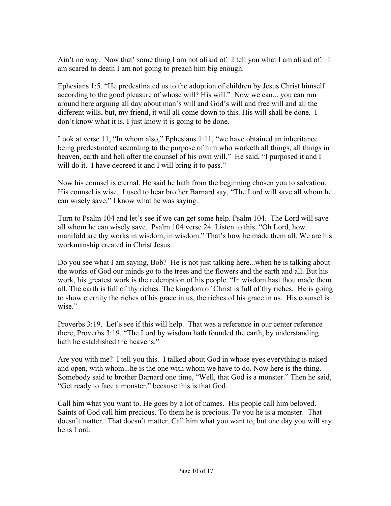Ain't no way. Now that' some thing I am not afraid of. I tell you what I am afraid of. I am scared to death I am not going to preach him big enough.

Ephesians 1:5. "He predestinated us to the adoption of children by Jesus Christ himself according to the good pleasure of whose will? His will." Now we can... you can run around here arguing all day about man's will and God's will and free will and all the different wills, but, my friend, it will all come down to this. His will shall be done. I don't know what it is, I just know it is going to be done.

Look at verse 11, "In whom also," Ephesians 1:11, "we have obtained an inheritance being predestinated according to the purpose of him who worketh all things, all things in heaven, earth and hell after the counsel of his own will." He said, "I purposed it and I will do it. I have decreed it and I will bring it to pass."

Now his counsel is eternal. He said he hath from the beginning chosen you to salvation. His counsel is wise. I used to hear brother Barnard say, "The Lord will save all whom he can wisely save." I know what he was saying.

Turn to Psalm 104 and let's see if we can get some help. Psalm 104. The Lord will save all whom he can wisely save. Psalm 104 verse 24. Listen to this. "Oh Lord, how manifold are thy works in wisdom, in wisdom." That's how he made them all. We are his workmanship created in Christ Jesus.

Do you see what I am saying, Bob? He is not just talking here...when he is talking about the works of God our minds go to the trees and the flowers and the earth and all. But his work, his greatest work is the redemption of his people. "In wisdom hast thou made them all. The earth is full of thy riches. The kingdom of Christ is full of thy riches. He is going to show eternity the riches of his grace in us, the riches of his grace in us. His counsel is wise."

Proverbs 3:19. Let's see if this will help. That was a reference in our center reference there, Proverbs 3:19. "The Lord by wisdom hath founded the earth, by understanding hath he established the heavens."

Are you with me? I tell you this. I talked about God in whose eyes everything is naked and open, with whom...he is the one with whom we have to do. Now here is the thing. Somebody said to brother Barnard one time, "Well, that God is a monster." Then he said, "Get ready to face a monster," because this is that God.

Call him what you want to. He goes by a lot of names. His people call him beloved. Saints of God call him precious. To them he is precious. To you he is a monster. That doesn't matter. That doesn't matter. Call him what you want to, but one day you will say he is Lord.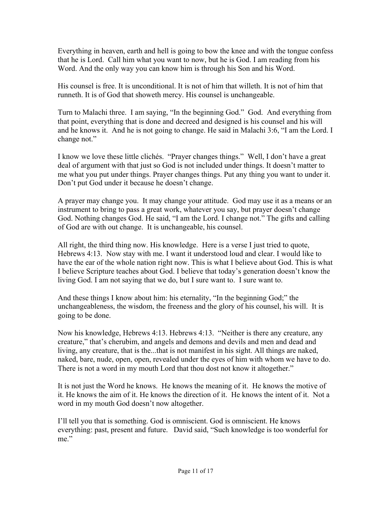Everything in heaven, earth and hell is going to bow the knee and with the tongue confess that he is Lord. Call him what you want to now, but he is God. I am reading from his Word. And the only way you can know him is through his Son and his Word.

His counsel is free. It is unconditional. It is not of him that willeth. It is not of him that runneth. It is of God that showeth mercy. His counsel is unchangeable.

Turn to Malachi three. I am saying, "In the beginning God." God. And everything from that point, everything that is done and decreed and designed is his counsel and his will and he knows it. And he is not going to change. He said in Malachi 3:6, "I am the Lord. I change not."

I know we love these little clichés. "Prayer changes things." Well, I don't have a great deal of argument with that just so God is not included under things. It doesn't matter to me what you put under things. Prayer changes things. Put any thing you want to under it. Don't put God under it because he doesn't change.

A prayer may change you. It may change your attitude. God may use it as a means or an instrument to bring to pass a great work, whatever you say, but prayer doesn't change God. Nothing changes God. He said, "I am the Lord. I change not." The gifts and calling of God are with out change. It is unchangeable, his counsel.

All right, the third thing now. His knowledge. Here is a verse I just tried to quote, Hebrews 4:13. Now stay with me. I want it understood loud and clear. I would like to have the ear of the whole nation right now. This is what I believe about God. This is what I believe Scripture teaches about God. I believe that today's generation doesn't know the living God. I am not saying that we do, but I sure want to. I sure want to.

And these things I know about him: his eternality, "In the beginning God;" the unchangeableness, the wisdom, the freeness and the glory of his counsel, his will. It is going to be done.

Now his knowledge, Hebrews 4:13. Hebrews 4:13. "Neither is there any creature, any creature," that's cherubim, and angels and demons and devils and men and dead and living, any creature, that is the...that is not manifest in his sight. All things are naked, naked, bare, nude, open, open, revealed under the eyes of him with whom we have to do. There is not a word in my mouth Lord that thou dost not know it altogether."

It is not just the Word he knows. He knows the meaning of it. He knows the motive of it. He knows the aim of it. He knows the direction of it. He knows the intent of it. Not a word in my mouth God doesn't now altogether.

I'll tell you that is something. God is omniscient. God is omniscient. He knows everything: past, present and future. David said, "Such knowledge is too wonderful for me."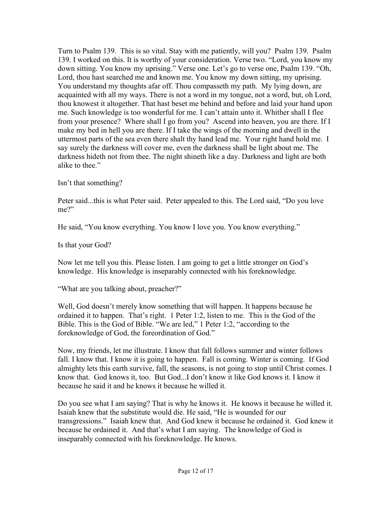Turn to Psalm 139. This is so vital. Stay with me patiently, will you? Psalm 139. Psalm 139. I worked on this. It is worthy of your consideration. Verse two. "Lord, you know my down sitting. You know my uprising." Verse one. Let's go to verse one, Psalm 139. "Oh, Lord, thou hast searched me and known me. You know my down sitting, my uprising. You understand my thoughts afar off. Thou compasseth my path. My lying down, are acquainted with all my ways. There is not a word in my tongue, not a word, but, oh Lord, thou knowest it altogether. That hast beset me behind and before and laid your hand upon me. Such knowledge is too wonderful for me. I can't attain unto it. Whither shall I flee from your presence? Where shall I go from you? Ascend into heaven, you are there. If I make my bed in hell you are there. If I take the wings of the morning and dwell in the uttermost parts of the sea even there shalt thy hand lead me. Your right hand hold me. I say surely the darkness will cover me, even the darkness shall be light about me. The darkness hideth not from thee. The night shineth like a day. Darkness and light are both alike to thee."

Isn't that something?

Peter said...this is what Peter said. Peter appealed to this. The Lord said, "Do you love me?"

He said, "You know everything. You know I love you. You know everything."

Is that your God?

Now let me tell you this. Please listen. I am going to get a little stronger on God's knowledge. His knowledge is inseparably connected with his foreknowledge.

"What are you talking about, preacher?"

Well, God doesn't merely know something that will happen. It happens because he ordained it to happen. That's right. 1 Peter 1:2, listen to me. This is the God of the Bible. This is the God of Bible. "We are led," 1 Peter 1:2, "according to the foreknowledge of God, the foreordination of God."

Now, my friends, let me illustrate. I know that fall follows summer and winter follows fall. I know that. I know it is going to happen. Fall is coming. Winter is coming. If God almighty lets this earth survive, fall, the seasons, is not going to stop until Christ comes. I know that. God knows it, too. But God...I don't know it like God knows it. I know it because he said it and he knows it because he willed it.

Do you see what I am saying? That is why he knows it. He knows it because he willed it. Isaiah knew that the substitute would die. He said, "He is wounded for our transgressions." Isaiah knew that. And God knew it because he ordained it. God knew it because he ordained it. And that's what I am saying. The knowledge of God is inseparably connected with his foreknowledge. He knows.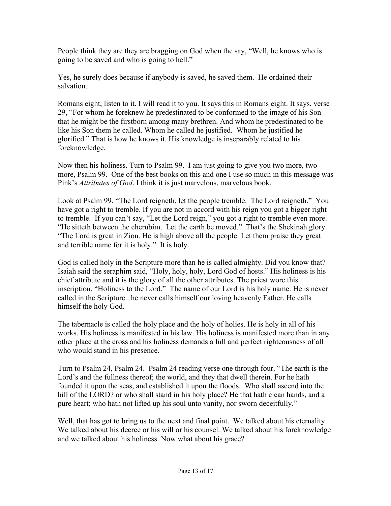People think they are they are bragging on God when the say, "Well, he knows who is going to be saved and who is going to hell."

Yes, he surely does because if anybody is saved, he saved them. He ordained their salvation.

Romans eight, listen to it. I will read it to you. It says this in Romans eight. It says, verse 29, "For whom he foreknew he predestinated to be conformed to the image of his Son that he might be the firstborn among many brethren. And whom he predestinated to be like his Son them he called. Whom he called he justified. Whom he justified he glorified." That is how he knows it. His knowledge is inseparably related to his foreknowledge.

Now then his holiness. Turn to Psalm 99. I am just going to give you two more, two more, Psalm 99. One of the best books on this and one I use so much in this message was Pink's *Attributes of God*. I think it is just marvelous, marvelous book.

Look at Psalm 99. "The Lord reigneth, let the people tremble. The Lord reigneth." You have got a right to tremble. If you are not in accord with his reign you got a bigger right to tremble. If you can't say, "Let the Lord reign," you got a right to tremble even more. "He sitteth between the cherubim. Let the earth be moved." That's the Shekinah glory. "The Lord is great in Zion. He is high above all the people. Let them praise they great and terrible name for it is holy." It is holy.

God is called holy in the Scripture more than he is called almighty. Did you know that? Isaiah said the seraphim said, "Holy, holy, holy, Lord God of hosts." His holiness is his chief attribute and it is the glory of all the other attributes. The priest wore this inscription. "Holiness to the Lord." The name of our Lord is his holy name. He is never called in the Scripture...he never calls himself our loving heavenly Father. He calls himself the holy God.

The tabernacle is called the holy place and the holy of holies. He is holy in all of his works. His holiness is manifested in his law. His holiness is manifested more than in any other place at the cross and his holiness demands a full and perfect righteousness of all who would stand in his presence.

Turn to Psalm 24, Psalm 24. Psalm 24 reading verse one through four. "The earth is the Lord's and the fullness thereof; the world, and they that dwell therein. For he hath founded it upon the seas, and established it upon the floods. Who shall ascend into the hill of the LORD? or who shall stand in his holy place? He that hath clean hands, and a pure heart; who hath not lifted up his soul unto vanity, nor sworn deceitfully."

Well, that has got to bring us to the next and final point. We talked about his eternality. We talked about his decree or his will or his counsel. We talked about his foreknowledge and we talked about his holiness. Now what about his grace?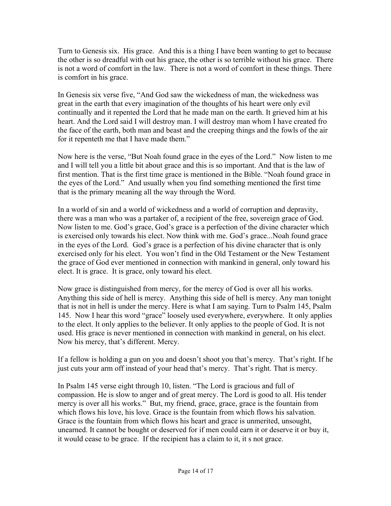Turn to Genesis six. His grace. And this is a thing I have been wanting to get to because the other is so dreadful with out his grace, the other is so terrible without his grace. There is not a word of comfort in the law. There is not a word of comfort in these things. There is comfort in his grace.

In Genesis six verse five, "And God saw the wickedness of man, the wickedness was great in the earth that every imagination of the thoughts of his heart were only evil continually and it repented the Lord that he made man on the earth. It grieved him at his heart. And the Lord said I will destroy man. I will destroy man whom I have created fro the face of the earth, both man and beast and the creeping things and the fowls of the air for it repenteth me that I have made them."

Now here is the verse, "But Noah found grace in the eyes of the Lord." Now listen to me and I will tell you a little bit about grace and this is so important. And that is the law of first mention. That is the first time grace is mentioned in the Bible. "Noah found grace in the eyes of the Lord." And usually when you find something mentioned the first time that is the primary meaning all the way through the Word.

In a world of sin and a world of wickedness and a world of corruption and depravity, there was a man who was a partaker of, a recipient of the free, sovereign grace of God. Now listen to me. God's grace, God's grace is a perfection of the divine character which is exercised only towards his elect. Now think with me. God's grace...Noah found grace in the eyes of the Lord. God's grace is a perfection of his divine character that is only exercised only for his elect. You won't find in the Old Testament or the New Testament the grace of God ever mentioned in connection with mankind in general, only toward his elect. It is grace. It is grace, only toward his elect.

Now grace is distinguished from mercy, for the mercy of God is over all his works. Anything this side of hell is mercy. Anything this side of hell is mercy. Any man tonight that is not in hell is under the mercy. Here is what I am saying. Turn to Psalm 145, Psalm 145. Now I hear this word "grace" loosely used everywhere, everywhere. It only applies to the elect. It only applies to the believer. It only applies to the people of God. It is not used. His grace is never mentioned in connection with mankind in general, on his elect. Now his mercy, that's different. Mercy.

If a fellow is holding a gun on you and doesn't shoot you that's mercy. That's right. If he just cuts your arm off instead of your head that's mercy. That's right. That is mercy.

In Psalm 145 verse eight through 10, listen. "The Lord is gracious and full of compassion. He is slow to anger and of great mercy. The Lord is good to all. His tender mercy is over all his works." But, my friend, grace, grace, grace is the fountain from which flows his love, his love. Grace is the fountain from which flows his salvation. Grace is the fountain from which flows his heart and grace is unmerited, unsought, unearned. It cannot be bought or deserved for if men could earn it or deserve it or buy it, it would cease to be grace. If the recipient has a claim to it, it s not grace.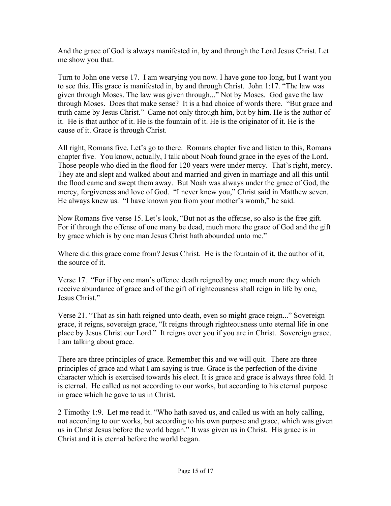And the grace of God is always manifested in, by and through the Lord Jesus Christ. Let me show you that.

Turn to John one verse 17. I am wearying you now. I have gone too long, but I want you to see this. His grace is manifested in, by and through Christ. John 1:17. "The law was given through Moses. The law was given through..." Not by Moses. God gave the law through Moses. Does that make sense? It is a bad choice of words there. "But grace and truth came by Jesus Christ." Came not only through him, but by him. He is the author of it. He is that author of it. He is the fountain of it. He is the originator of it. He is the cause of it. Grace is through Christ.

All right, Romans five. Let's go to there. Romans chapter five and listen to this, Romans chapter five. You know, actually, I talk about Noah found grace in the eyes of the Lord. Those people who died in the flood for 120 years were under mercy. That's right, mercy. They ate and slept and walked about and married and given in marriage and all this until the flood came and swept them away. But Noah was always under the grace of God, the mercy, forgiveness and love of God. "I never knew you," Christ said in Matthew seven. He always knew us. "I have known you from your mother's womb," he said.

Now Romans five verse 15. Let's look, "But not as the offense, so also is the free gift. For if through the offense of one many be dead, much more the grace of God and the gift by grace which is by one man Jesus Christ hath abounded unto me."

Where did this grace come from? Jesus Christ. He is the fountain of it, the author of it, the source of it.

Verse 17. "For if by one man's offence death reigned by one; much more they which receive abundance of grace and of the gift of righteousness shall reign in life by one, Jesus Christ."

Verse 21. "That as sin hath reigned unto death, even so might grace reign..." Sovereign grace, it reigns, sovereign grace, "It reigns through righteousness unto eternal life in one place by Jesus Christ our Lord." It reigns over you if you are in Christ. Sovereign grace. I am talking about grace.

There are three principles of grace. Remember this and we will quit. There are three principles of grace and what I am saying is true. Grace is the perfection of the divine character which is exercised towards his elect. It is grace and grace is always three fold. It is eternal. He called us not according to our works, but according to his eternal purpose in grace which he gave to us in Christ.

2 Timothy 1:9. Let me read it. "Who hath saved us, and called us with an holy calling, not according to our works, but according to his own purpose and grace, which was given us in Christ Jesus before the world began." It was given us in Christ. His grace is in Christ and it is eternal before the world began.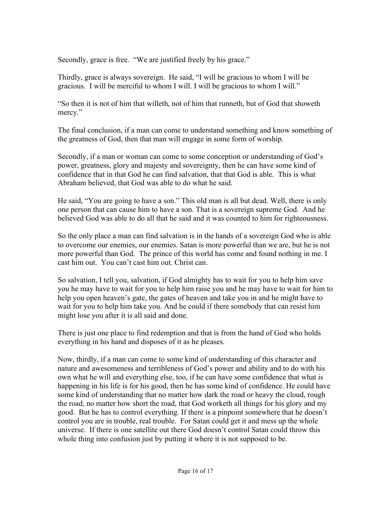Secondly, grace is free. "We are justified freely by his grace."

Thirdly, grace is always sovereign. He said, "I will be gracious to whom I will be gracious. I will be merciful to whom I will. I will be gracious to whom I will."

"So then it is not of him that willeth, not of him that runneth, but of God that showeth mercy."

The final conclusion, if a man can come to understand something and know something of the greatness of God, then that man will engage in some form of worship.

Secondly, if a man or woman can come to some conception or understanding of God's power, greatness, glory and majesty and sovereignty, then he can have some kind of confidence that in that God he can find salvation, that that God is able. This is what Abraham believed, that God was able to do what he said.

He said, "You are going to have a son." This old man is all but dead. Well, there is only one person that can cause him to have a son. That is a sovereign supreme God. And he believed God was able to do all that he said and it was counted to him for righteousness.

So the only place a man can find salvation is in the hands of a sovereign God who is able to overcome our enemies, our enemies. Satan is more powerful than we are, but he is not more powerful than God. The prince of this world has come and found nothing in me. I cast him out. You can't cast him out. Christ can.

So salvation, I tell you, salvation, if God almighty has to wait for you to help him save you he may have to wait for you to help him raise you and he may have to wait for him to help you open heaven's gate, the gates of heaven and take you in and he might have to wait for you to help him take you. And he could if there somebody that can resist him might lose you after it is all said and done.

There is just one place to find redemption and that is from the hand of God who holds everything in his hand and disposes of it as he pleases.

Now, thirdly, if a man can come to some kind of understanding of this character and nature and awesomeness and terribleness of God's power and ability and to do with his own what he will and everything else, too, if he can have some confidence that what is happening in his life is for his good, then he has some kind of confidence. He could have some kind of understanding that no matter how dark the road or heavy the cloud, rough the road, no matter how short the road, that God worketh all things for his glory and my good. But he has to control everything. If there is a pinpoint somewhere that he doesn't control you are in trouble, real trouble. For Satan could get it and mess up the whole universe. If there is one satellite out there God doesn't control Satan could throw this whole thing into confusion just by putting it where it is not supposed to be.